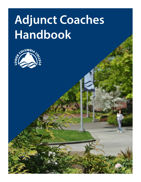# **Adjunct Coaches Handbook**

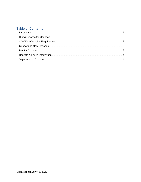# **Table of Contents**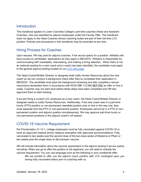#### <span id="page-2-0"></span>**Introduction**

This handbook applies to Lower Columbia College's part-time coaches (Head and Assistant Coaches), who are classified as adjunct employees under the Faculty CBA. This handbook does not apply to the Head Coaches whose coaching duties are part of their full-time LCC position. Policies and procedures in this handbook may be amended at any time.

#### <span id="page-2-1"></span>Hiring Process for Coaches

Upon request, HR may post for adjunct coaches. If we recruit openly for a position, Athletics will have access to candidates' applications as they apply in NEOGOV. Athletics is responsible for communicating with candidates, interviewing, and making a hiring selection. When there is not an external posting for a new coach and a coach has been identified, the candidate must apply to the general adjunct posting located on our [LCC jobs page.](https://www.schooljobs.com/careers/lowercolumbia)

The Head Coach/Athletic Director or designee shall notify Human Resources about the new coach so we can conduct a background check after they've completed their application in NEOGOV. The candidate must pass the background screening and also complete a sexual misconduct declaration form in accordance with RCW 28B.112.080 BEFORE an offer or hire is made. Coaches may not start work before these steps have been completed and HR has approved them to start working.

If we are hiring a current LCC employee as a new coach, the Head Coach/Athletic Director or designee needs to notify Human Resources. Additionally, if the new coach was in a part-time hourly (PTH) position or non-permanent classified position prior to hire in the new role, they must separate from the PTH or non-permanent position. Employees cannot be in a PTH or nonpermanent position and adjunct position simultaneously. We may approve part-time hourly or non-permanent positions in the adjunct coach's off season.

#### <span id="page-2-2"></span>COVID-19 Vaccine Requirement

Per Proclamation 21-14.1, college employees must be fully vaccinated against COVID-19 or have an approved medical and/or religious exemption with approved accommodations. Fully vaccinated is two weeks post the second dose of the two-dose series of Moderna or Pfizer or two weeks post the single dose of J&J/Janssen vaccine.

HR will include information about the vaccine requirement in the adjunct posting if we are openly recruiting. When you go to offer the position to the applicant, you will need to indicate the vaccine requirement. You can use language such as the following in your conditional offer: *We are excited to offer you the adjunct coach position with LCC contingent upon you having fully vaccinated status prior to coaching with us.*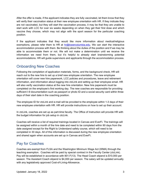After the offer is made, if the applicant indicates they are fully vaccinated, let them know that they will verify their vaccination status at their new employee orientation with HR. If they indicate they are not vaccinated, but they will start the vaccination process, it may be that they are unable to start work with LCC for over six weeks depending on when they get their first dose and which vaccine they choose, which may not align with the sport season for the particular coaching position.

If the applicant indicates that they would like more information about medical/religious exemptions, please refer them to HR at [hr@lowercolumbia.edu.](mailto:hr@lowercolumbia.edu) We can start the interactive accommodation process with them. Be thinking about the duties of the position and if we may be able to accommodate them or not. We will not make a determination until we receive the information we need from them, but it's helpful to already start brainstorming potential accommodations. HR will guide supervisors and applicants through the accommodation process.

### <span id="page-3-0"></span>Onboarding New Coaches

Following the completion of application materials, forms, and the background check, HR will reach out to the new hire to set up a brief new employee orientation. The new employee orientation will cover new hire paperwork, LCC policies and procedures, leave and retirement information, and information about logging into ctcLink and setting up their employee email. HR will also verify vaccination status at the new hire orientation. New hire paperwork must be completed on the employee's first working day. The new coaches are responsible for providing sufficient I-9 documentation such as passport or photo ID and a social security card within three days of their start date in the coaching position.

The employee ID for ctcLink and e-mail will be provided to the employee within 1-3 days of their new employee orientation with HR. HR will provide instructions on how to set up their account.

In ctcLink, coaches are set up as part-time faculty. The Office of Instruction will provide HR with the budget information for job setup in ctcLink.

Coaches will receive a list of required trainings located in Canvas and EverFi. The trainings will be assigned within a month of the hire date and need to be completed within 90 days from the date assigned except for the Right to Understand safety course, which will need to be completed in 30 days. All of this information is discussed during the new employee orientation and shared again when accounts are set up in Canvas and EverFi.

# <span id="page-3-1"></span>Pay for Coaches

Coaches are exempt from FLSA and the Washington Minimum Wage Act (WMA) through the teaching exemption. Coaches will be paid by special contract in the Faculty Center (ctcLink). Pay will be established in accordance with 901.F(13). The Head Coach stipend is \$10,000 per season. The Assistant Coach stipend is \$4,000 per season. The salary will be updated annually with any legislatively approved Cost-of-Living-Allowance.